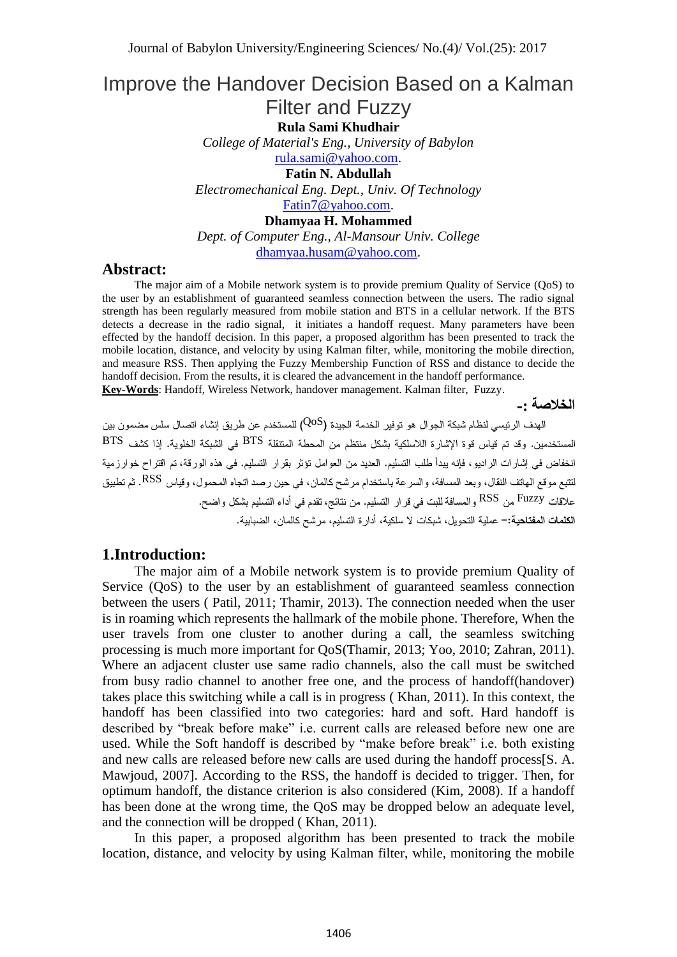# Improve the Handover Decision Based on a Kalman Filter and Fuzzy

**Rula Sami Khudhair**

*College of Material's Eng., University of Babylon* [rula.sami@yahoo.com.](mailto:rula.sami@yahoo.com)

**Fatin N. Abdullah**

*Electromechanical Eng. Dept., Univ. Of Technology* [Fatin7@yahoo.com.](mailto:Fatin7@yahoo.com)

**Dhamyaa H. Mohammed**

*Dept. of Computer Eng., Al-Mansour Univ. College* [dhamyaa.husam@yahoo.com.](mailto:dhamyaa.husam@yahoo.com)

#### **Abstract:**

The major aim of a Mobile network system is to provide premium Quality of Service (QoS) to the user by an establishment of guaranteed seamless connection between the users. The radio signal strength has been regularly measured from mobile station and BTS in a cellular network. If the BTS detects a decrease in the radio signal, it initiates a handoff request. Many parameters have been effected by the handoff decision. In this paper, a proposed algorithm has been presented to track the mobile location, distance, and velocity by using Kalman filter, while, monitoring the mobile direction, and measure RSS. Then applying the Fuzzy Membership Function of RSS and distance to decide the handoff decision. From the results, it is cleared the advancement in the handoff performance. **Key-Words**: Handoff, Wireless Network, handover management. Kalman filter, Fuzzy.

**الخالصة -:**

QoS BTS BTS RSS RSS Fuzzy

#### **1.Introduction:**

The major aim of a Mobile network system is to provide premium Quality of Service (QoS) to the user by an establishment of guaranteed seamless connection between the users ( Patil, 2011; Thamir, 2013). The connection needed when the user is in roaming which represents the hallmark of the mobile phone. Therefore, When the user travels from one cluster to another during a call, the seamless switching processing is much more important for QoS(Thamir, 2013; Yoo, 2010; Zahran, 2011). Where an adjacent cluster use same radio channels, also the call must be switched from busy radio channel to another free one, and the process of handoff(handover) takes place this switching while a call is in progress ( Khan, 2011). In this context, the handoff has been classified into two categories: hard and soft. Hard handoff is described by "break before make" i.e. current calls are released before new one are used. While the Soft handoff is described by "make before break" i.e. both existing and new calls are released before new calls are used during the handoff process[S. A. Mawjoud, 2007]. According to the RSS, the handoff is decided to trigger. Then, for optimum handoff, the distance criterion is also considered (Kim, 2008). If a handoff has been done at the wrong time, the QoS may be dropped below an adequate level, and the connection will be dropped ( Khan, 2011).

In this paper, a proposed algorithm has been presented to track the mobile location, distance, and velocity by using Kalman filter, while, monitoring the mobile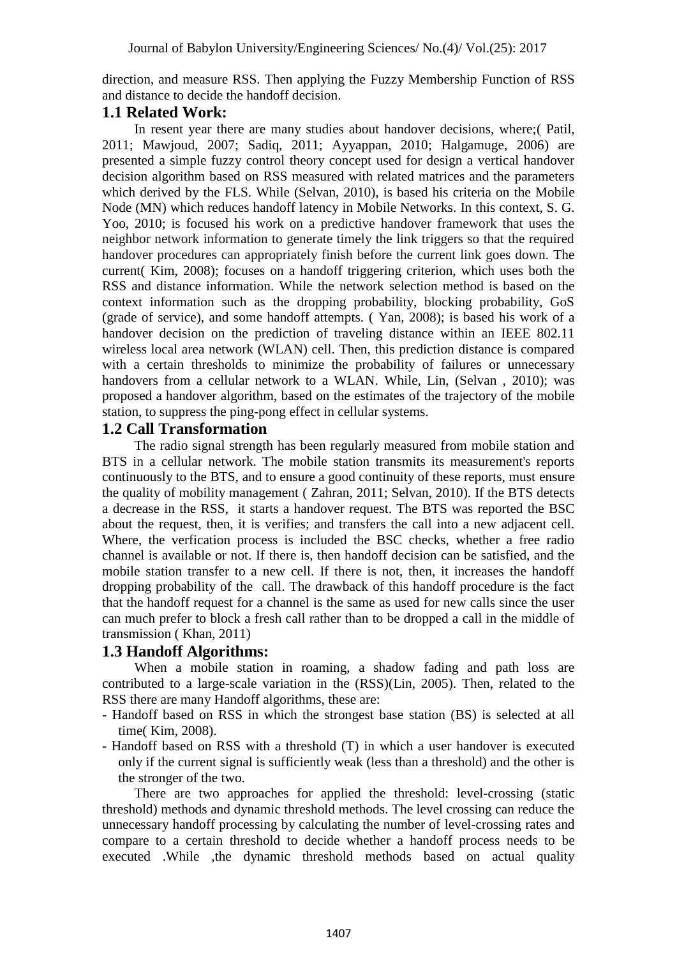direction, and measure RSS. Then applying the Fuzzy Membership Function of RSS and distance to decide the handoff decision.

# **1.1 Related Work:**

In resent year there are many studies about handover decisions, where;( Patil, 2011; Mawjoud, 2007; Sadiq, 2011; Ayyappan, 2010; Halgamuge, 2006) are presented a simple fuzzy control theory concept used for design a vertical handover decision algorithm based on RSS measured with related matrices and the parameters which derived by the FLS. While (Selvan, 2010), is based his criteria on the Mobile Node (MN) which reduces handoff latency in Mobile Networks. In this context, S. G. Yoo, 2010; is focused his work on a predictive handover framework that uses the neighbor network information to generate timely the link triggers so that the required handover procedures can appropriately finish before the current link goes down. The current( Kim, 2008); focuses on a handoff triggering criterion, which uses both the RSS and distance information. While the network selection method is based on the context information such as the dropping probability, blocking probability, GoS (grade of service), and some handoff attempts. ( Yan, 2008); is based his work of a handover decision on the prediction of traveling distance within an IEEE 802.11 wireless local area network (WLAN) cell. Then, this prediction distance is compared with a certain thresholds to minimize the probability of failures or unnecessary handovers from a cellular network to a WLAN. While, Lin, (Selvan, 2010); was proposed a handover algorithm, based on the estimates of the trajectory of the mobile station, to suppress the ping-pong effect in cellular systems.

# **1.2 Call Transformation**

The radio signal strength has been regularly measured from mobile station and BTS in a cellular network. The mobile station transmits its measurement's reports continuously to the BTS, and to ensure a good continuity of these reports, must ensure the quality of mobility management ( Zahran, 2011; Selvan, 2010). If the BTS detects a decrease in the RSS, it starts a handover request. The BTS was reported the BSC about the request, then, it is verifies; and transfers the call into a new adjacent cell. Where, the verfication process is included the BSC checks, whether a free radio channel is available or not. If there is, then handoff decision can be satisfied, and the mobile station transfer to a new cell. If there is not, then, it increases the handoff dropping probability of the call. The drawback of this handoff procedure is the fact that the handoff request for a channel is the same as used for new calls since the user can much prefer to block a fresh call rather than to be dropped a call in the middle of transmission ( Khan, 2011)

# **1.3 Handoff Algorithms:**

When a mobile station in roaming, a shadow fading and path loss are contributed to a large-scale variation in the (RSS)(Lin, 2005). Then, related to the RSS there are many Handoff algorithms, these are:

- Handoff based on RSS in which the strongest base station (BS) is selected at all time( Kim, 2008).
- Handoff based on RSS with a threshold (T) in which a user handover is executed only if the current signal is sufficiently weak (less than a threshold) and the other is the stronger of the two.

There are two approaches for applied the threshold: level-crossing (static threshold) methods and dynamic threshold methods. The level crossing can reduce the unnecessary handoff processing by calculating the number of level-crossing rates and compare to a certain threshold to decide whether a handoff process needs to be executed .While ,the dynamic threshold methods based on actual quality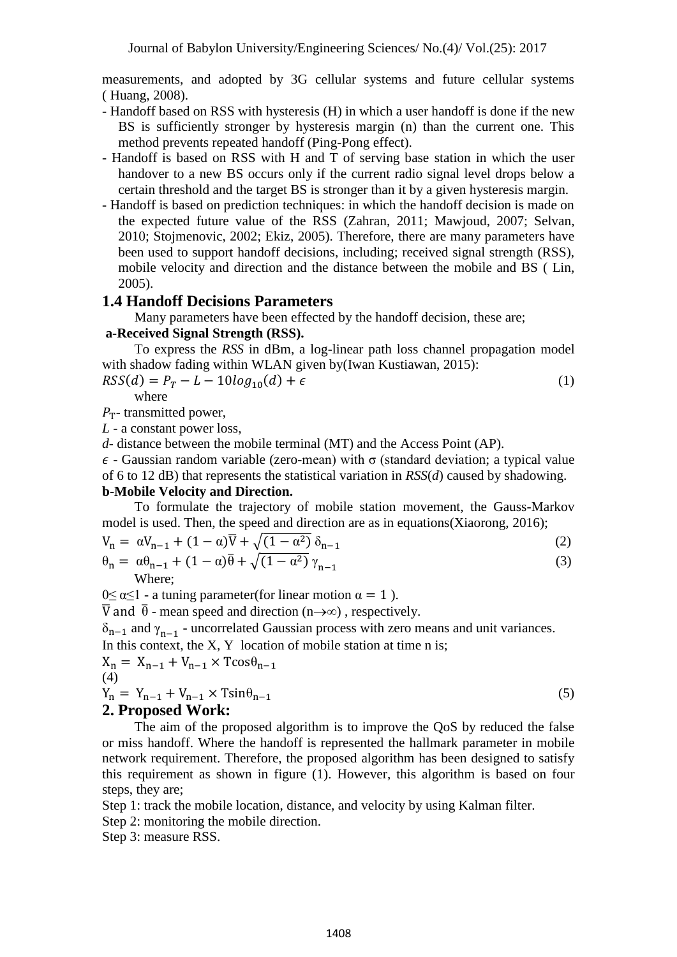measurements, and adopted by 3G cellular systems and future cellular systems ( Huang, 2008).

- Handoff based on RSS with hysteresis (H) in which a user handoff is done if the new BS is sufficiently stronger by hysteresis margin (n) than the current one. This method prevents repeated handoff (Ping-Pong effect).
- Handoff is based on RSS with H and T of serving base station in which the user handover to a new BS occurs only if the current radio signal level drops below a certain threshold and the target BS is stronger than it by a given hysteresis margin.
- Handoff is based on prediction techniques: in which the handoff decision is made on the expected future value of the RSS (Zahran, 2011; Mawjoud, 2007; Selvan, 2010; Stojmenovic, 2002; Ekiz, 2005). Therefore, there are many parameters have been used to support handoff decisions, including; received signal strength (RSS), mobile velocity and direction and the distance between the mobile and BS ( Lin, 2005).

### **1.4 Handoff Decisions Parameters**

Many parameters have been effected by the handoff decision, these are;

#### **a-Received Signal Strength (RSS).**

To express the *RSS* in dBm, a log-linear path loss channel propagation model with shadow fading within WLAN given by(Iwan Kustiawan, 2015):

$$
RSS(d) = P_T - L - 10log_{10}(d) + \epsilon
$$
\n(1)

where

 $P_T$ - transmitted power,

*L* - a constant power loss,

*d*- distance between the mobile terminal (MT) and the Access Point (AP).

 $\epsilon$  - Gaussian random variable (zero-mean) with  $\sigma$  (standard deviation; a typical value of 6 to 12 dB) that represents the statistical variation in *RSS*(*d*) caused by shadowing. **b-Mobile Velocity and Direction.**

To formulate the trajectory of mobile station movement, the Gauss-Markov model is used. Then, the speed and direction are as in equations(Xiaorong, 2016);

$$
V_{n} = \alpha V_{n-1} + (1 - \alpha)\overline{V} + \sqrt{(1 - \alpha^{2})} \delta_{n-1}
$$
  
\n
$$
\theta_{n} = \alpha \theta_{n-1} + (1 - \alpha)\overline{\theta} + \sqrt{(1 - \alpha^{2})} \gamma_{n-1}
$$
\n(2)

Where;

 $0 \le \alpha \le 1$  - a tuning parameter(for linear motion  $\alpha = 1$ ).

 $\overline{V}$  and  $\overline{\theta}$  - mean speed and direction (n $\rightarrow \infty$ ), respectively.

 $\delta_{n-1}$  and  $\gamma_{n-1}$  - uncorrelated Gaussian process with zero means and unit variances.

In this context, the  $X$ ,  $Y$  location of mobile station at time  $n$  is;

$$
X_{n} = X_{n-1} + V_{n-1} \times T \cos \theta_{n-1}
$$
  
(4)  

$$
Y_{n} = Y_{n-1} + V_{n-1} \times T \sin \theta_{n-1}
$$
 (5)

# **2. Proposed Work:**

The aim of the proposed algorithm is to improve the QoS by reduced the false or miss handoff. Where the handoff is represented the hallmark parameter in mobile network requirement. Therefore, the proposed algorithm has been designed to satisfy this requirement as shown in figure (1). However, this algorithm is based on four steps, they are;

Step 1: track the mobile location, distance, and velocity by using Kalman filter.

Step 2: monitoring the mobile direction.

Step 3: measure RSS.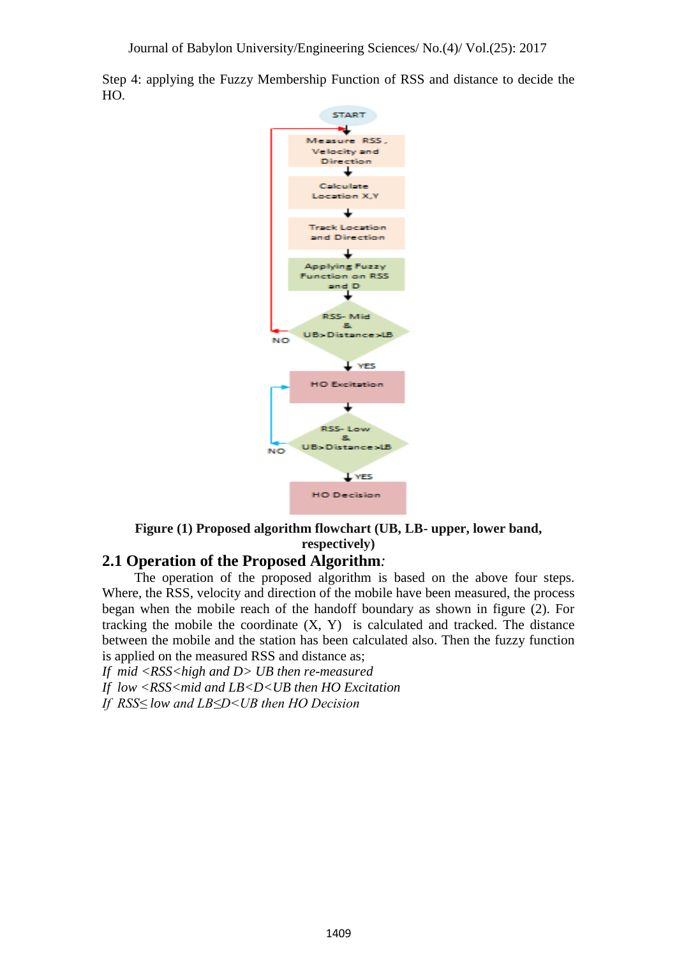Step 4: applying the Fuzzy Membership Function of RSS and distance to decide the HO.



# **Figure (1) Proposed algorithm flowchart (UB, LB- upper, lower band, respectively)**

# **2.1 Operation of the Proposed Algorithm***:*

The operation of the proposed algorithm is based on the above four steps. Where, the RSS, velocity and direction of the mobile have been measured, the process began when the mobile reach of the handoff boundary as shown in figure (2). For tracking the mobile the coordinate  $(X, Y)$  is calculated and tracked. The distance between the mobile and the station has been calculated also. Then the fuzzy function is applied on the measured RSS and distance as;

*If mid <RSS<high and D> UB then re-measured If low <RSS<mid and LB<D<UB then HO Excitation If RSS≤ low and LB≤D<UB then HO Decision*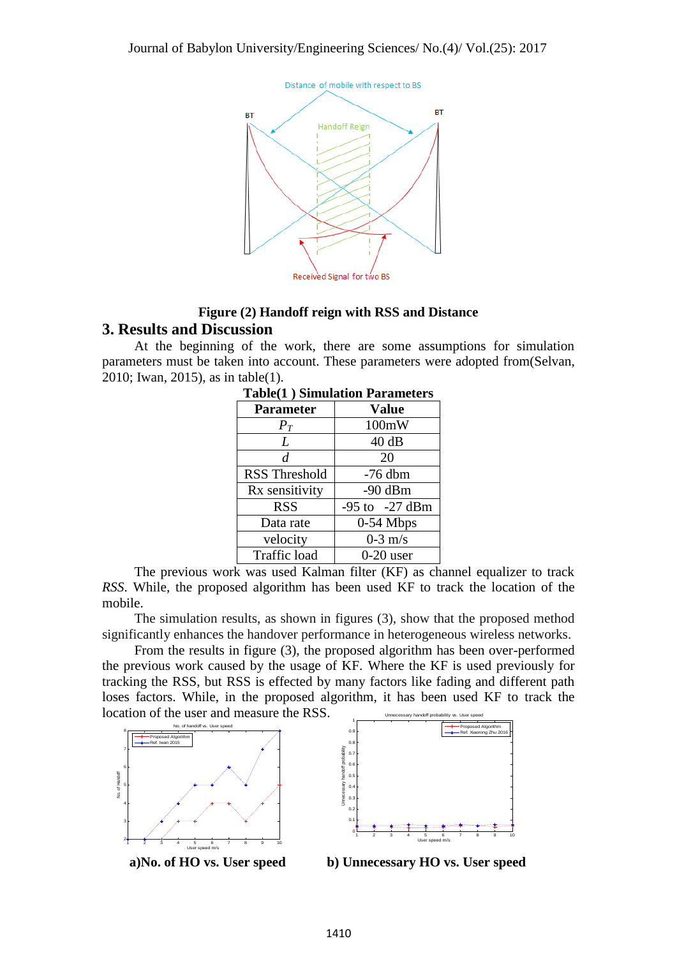

# **Figure (2) Handoff reign with RSS and Distance 3. Results and Discussion**

At the beginning of the work, there are some assumptions for simulation parameters must be taken into account. These parameters were adopted from(Selvan, 2010; Iwan, 2015), as in table(1).

| <b>Parameter</b>     | <b>Value</b>       |  |  |
|----------------------|--------------------|--|--|
| $P_T$                | 100mW              |  |  |
| L                    | 40dB               |  |  |
| d                    | 20                 |  |  |
| <b>RSS Threshold</b> | $-76$ dbm          |  |  |
| Rx sensitivity       | $-90$ dBm          |  |  |
| <b>RSS</b>           | $-95$ to $-27$ dBm |  |  |
| Data rate            | $0-54$ Mbps        |  |  |
| velocity             | $0-3$ m/s          |  |  |
| Traffic load         | $0-20$ user        |  |  |

| <b>Table(1) Simulation Parameters</b> |  |  |
|---------------------------------------|--|--|
|                                       |  |  |

The previous work was used Kalman filter (KF) as channel equalizer to track *RSS*. While, the proposed algorithm has been used KF to track the location of the mobile.

The simulation results, as shown in figures (3), show that the proposed method significantly enhances the handover performance in heterogeneous wireless networks.

From the results in figure (3), the proposed algorithm has been over-performed the previous work caused by the usage of KF. Where the KF is used previously for tracking the RSS, but RSS is effected by many factors like fading and different path loses factors. While, in the proposed algorithm, it has been used KF to track the location of the user and measure the RSS.





 **a)No. of HO vs. User speed b) Unnecessary HO vs. User speed**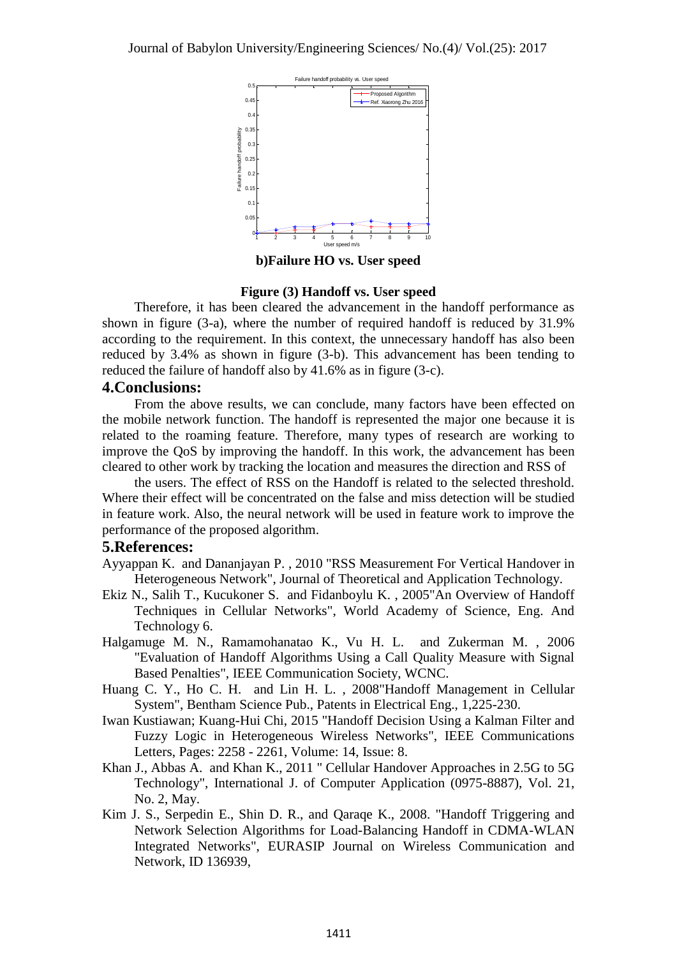

**b)Failure HO vs. User speed**

#### **Figure (3) Handoff vs. User speed**

Therefore, it has been cleared the advancement in the handoff performance as shown in figure (3-a), where the number of required handoff is reduced by 31.9% according to the requirement. In this context, the unnecessary handoff has also been reduced by 3.4% as shown in figure (3-b). This advancement has been tending to reduced the failure of handoff also by 41.6% as in figure (3-c).

#### **4.Conclusions:**

From the above results, we can conclude, many factors have been effected on the mobile network function. The handoff is represented the major one because it is related to the roaming feature. Therefore, many types of research are working to improve the QoS by improving the handoff. In this work, the advancement has been cleared to other work by tracking the location and measures the direction and RSS of

the users. The effect of RSS on the Handoff is related to the selected threshold. Where their effect will be concentrated on the false and miss detection will be studied in feature work. Also, the neural network will be used in feature work to improve the performance of the proposed algorithm.

#### **5.References:**

- Ayyappan K. and Dananjayan P. , 2010 "RSS Measurement For Vertical Handover in Heterogeneous Network", Journal of Theoretical and Application Technology.
- Ekiz N., Salih T., Kucukoner S. and Fidanboylu K. , 2005"An Overview of Handoff Techniques in Cellular Networks", World Academy of Science, Eng. And Technology 6.
- Halgamuge M. N., Ramamohanatao K., Vu H. L. and Zukerman M. , 2006 "Evaluation of Handoff Algorithms Using a Call Quality Measure with Signal Based Penalties", IEEE Communication Society, WCNC.
- Huang C. Y., Ho C. H. and Lin H. L. , 2008"Handoff Management in Cellular System", Bentham Science Pub., Patents in Electrical Eng., 1,225-230.
- Iwan Kustiawan; Kuang-Hui Chi, 2015 "Handoff Decision Using a Kalman Filter and Fuzzy Logic in Heterogeneous Wireless Networks", IEEE Communications Letters, Pages: 2258 - 2261, Volume: 14, Issue: 8.
- Khan J., Abbas A. and Khan K., 2011 " Cellular Handover Approaches in 2.5G to 5G Technology", International J. of Computer Application (0975-8887), Vol. 21, No. 2, May.
- Kim J. S., Serpedin E., Shin D. R., and Qaraqe K., 2008. "Handoff Triggering and Network Selection Algorithms for Load-Balancing Handoff in CDMA-WLAN Integrated Networks", EURASIP Journal on Wireless Communication and Network, ID 136939,